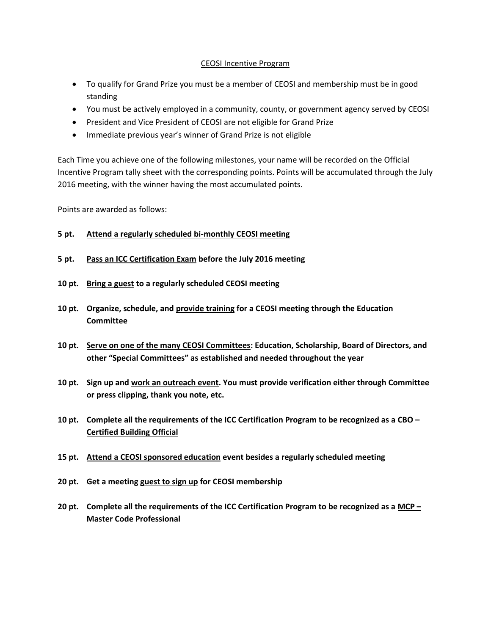## CEOSI Incentive Program

- To qualify for Grand Prize you must be a member of CEOSI and membership must be in good standing
- You must be actively employed in a community, county, or government agency served by CEOSI
- President and Vice President of CEOSI are not eligible for Grand Prize
- Immediate previous year's winner of Grand Prize is not eligible

Each Time you achieve one of the following milestones, your name will be recorded on the Official Incentive Program tally sheet with the corresponding points. Points will be accumulated through the July 2016 meeting, with the winner having the most accumulated points.

Points are awarded as follows:

## **5 pt. Attend a regularly scheduled bi-monthly CEOSI meeting**

- **5 pt. Pass an ICC Certification Exam before the July 2016 meeting**
- **10 pt. Bring a guest to a regularly scheduled CEOSI meeting**
- **10 pt. Organize, schedule, and provide training for a CEOSI meeting through the Education Committee**
- **10 pt. Serve on one of the many CEOSI Committees: Education, Scholarship, Board of Directors, and other "Special Committees" as established and needed throughout the year**
- **10 pt. Sign up and work an outreach event. You must provide verification either through Committee or press clipping, thank you note, etc.**
- **10 pt. Complete all the requirements of the ICC Certification Program to be recognized as a CBO – Certified Building Official**
- **15 pt. Attend a CEOSI sponsored education event besides a regularly scheduled meeting**
- **20 pt. Get a meeting guest to sign up for CEOSI membership**
- **20 pt. Complete all the requirements of the ICC Certification Program to be recognized as a MCP – Master Code Professional**